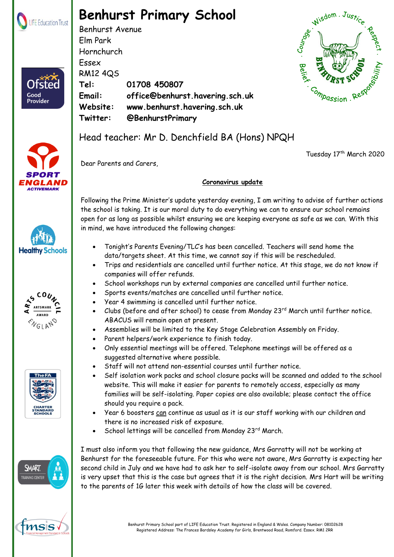

Ofster

Good Provider

## **Benhurst Primary School**

Benhurst Avenue Elm Park Hornchurch Essex RM12 4QS **Tel: 01708 450807 Email: office@benhurst.havering.sch.uk Website: www.benhurst.havering.sch.uk Twitter: @BenhurstPrimary**



Tuesday 17th March 2020











## Head teacher: Mr D. Denchfield BA (Hons) NPQH

Dear Parents and Carers,

## **Coronavirus update**

Following the Prime Minister's update yesterday evening, I am writing to advise of further actions the school is taking. It is our moral duty to do everything we can to ensure our school remains open for as long as possible whilst ensuring we are keeping everyone as safe as we can. With this in mind, we have introduced the following changes:

- Tonight's Parents Evening/TLC's has been cancelled. Teachers will send home the data/targets sheet. At this time, we cannot say if this will be rescheduled.
- Trips and residentials are cancelled until further notice. At this stage, we do not know if companies will offer refunds.
- School workshops run by external companies are cancelled until further notice.
- Sports events/matches are cancelled until further notice.
- Year 4 swimming is cancelled until further notice.
- Clubs (before and after school) to cease from Monday 23<sup>rd</sup> March until further notice. ABACUS will remain open at present.
- Assemblies will be limited to the Key Stage Celebration Assembly on Friday.
- Parent helpers/work experience to finish today.
- Only essential meetings will be offered. Telephone meetings will be offered as a suggested alternative where possible.
- Staff will not attend non-essential courses until further notice.
- Self isolation work packs and school closure packs will be scanned and added to the school website. This will make it easier for parents to remotely access, especially as many families will be self-isolating. Paper copies are also available; please contact the office should you require a pack.
- Year 6 boosters can continue as usual as it is our staff working with our children and there is no increased risk of exposure.
- School lettings will be cancelled from Monday 23rd March.

I must also inform you that following the new guidance, Mrs Garratty will not be working at Benhurst for the foreseeable future. For this who were not aware, Mrs Garratty is expecting her second child in July and we have had to ask her to self-isolate away from our school. Mrs Garratty is very upset that this is the case but agrees that it is the right decision. Mrs Hart will be writing to the parents of 1G later this week with details of how the class will be covered.